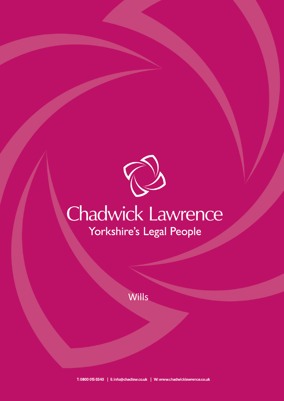

## Chadwick Lawrence Yorkshire's Legal People

Wills